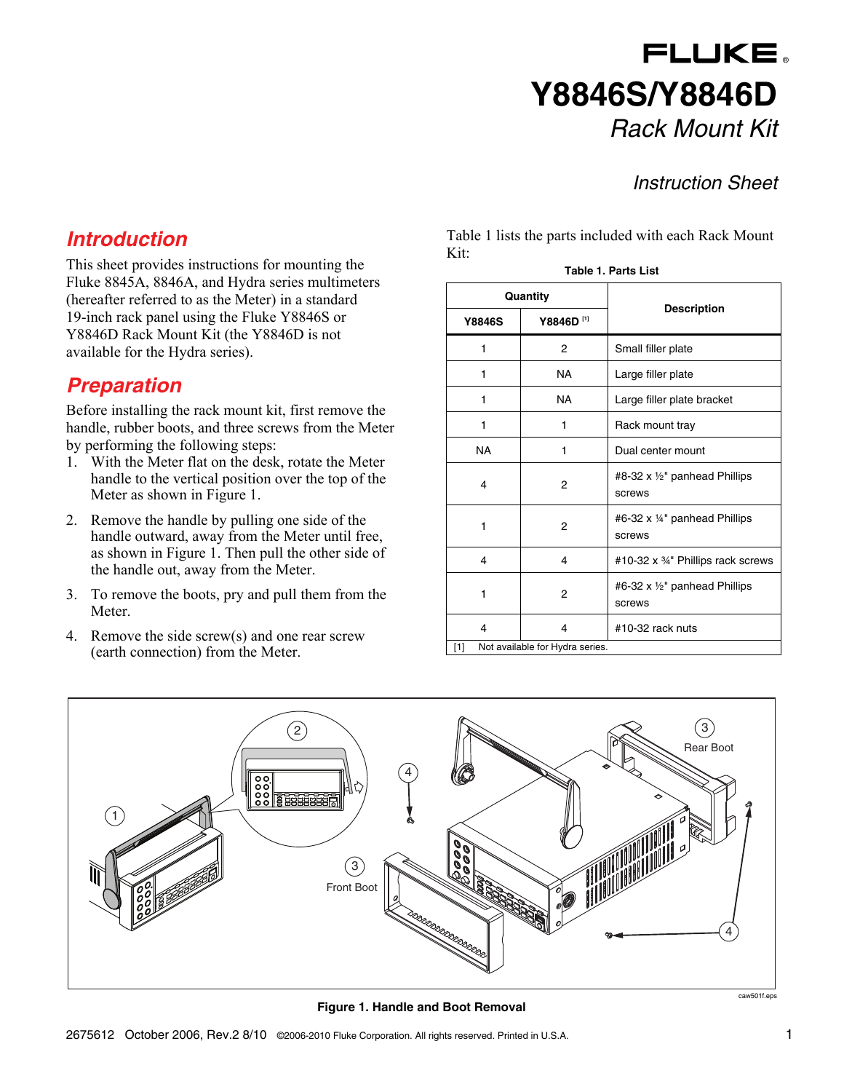# FLUKE. **Y8846S/Y8846D**  *Rack Mount Kit*

#### *Instruction Sheet*

#### *Introduction*

This sheet provides instructions for mounting the Fluke 8845A, 8846A, and Hydra series multimeters (hereafter referred to as the Meter) in a standard 19-inch rack panel using the Fluke Y8846S or Y8846D Rack Mount Kit (the Y8846D is not available for the Hydra series).

### *Preparation*

Before installing the rack mount kit, first remove the handle, rubber boots, and three screws from the Meter by performing the following steps:

- 1. With the Meter flat on the desk, rotate the Meter handle to the vertical position over the top of the Meter as shown in Figure 1.
- 2. Remove the handle by pulling one side of the handle outward, away from the Meter until free, as shown in Figure 1. Then pull the other side of the handle out, away from the Meter.
- 3. To remove the boots, pry and pull them from the Meter.
- 4. Remove the side screw(s) and one rear screw (earth connection) from the Meter.

Table 1 lists the parts included with each Rack Mount Kit:

**Table 1. Parts List** 

| Quantity                               |                       |                                                    |
|----------------------------------------|-----------------------|----------------------------------------------------|
| <b>Y8846S</b>                          | Y8846D <sup>[1]</sup> | <b>Description</b>                                 |
| 1                                      | 2                     | Small filler plate                                 |
| 1                                      | NA                    | Large filler plate                                 |
| 1                                      | NA                    | Large filler plate bracket                         |
| 1                                      | 1                     | Rack mount tray                                    |
| <b>NA</b>                              | 1                     | Dual center mount                                  |
| 4                                      | $\overline{2}$        | #8-32 x 1/2" panhead Phillips<br>screws            |
| 1                                      | 2                     | #6-32 x 1/4" panhead Phillips<br>screws            |
| 4                                      | 4                     | #10-32 x 34" Phillips rack screws                  |
| 1                                      | $\overline{2}$        | #6-32 x $\frac{1}{2}$ " panhead Phillips<br>screws |
| 4                                      | $\overline{4}$        | #10-32 rack nuts                                   |
| Not available for Hydra series.<br>[1] |                       |                                                    |



**Figure 1. Handle and Boot Removal**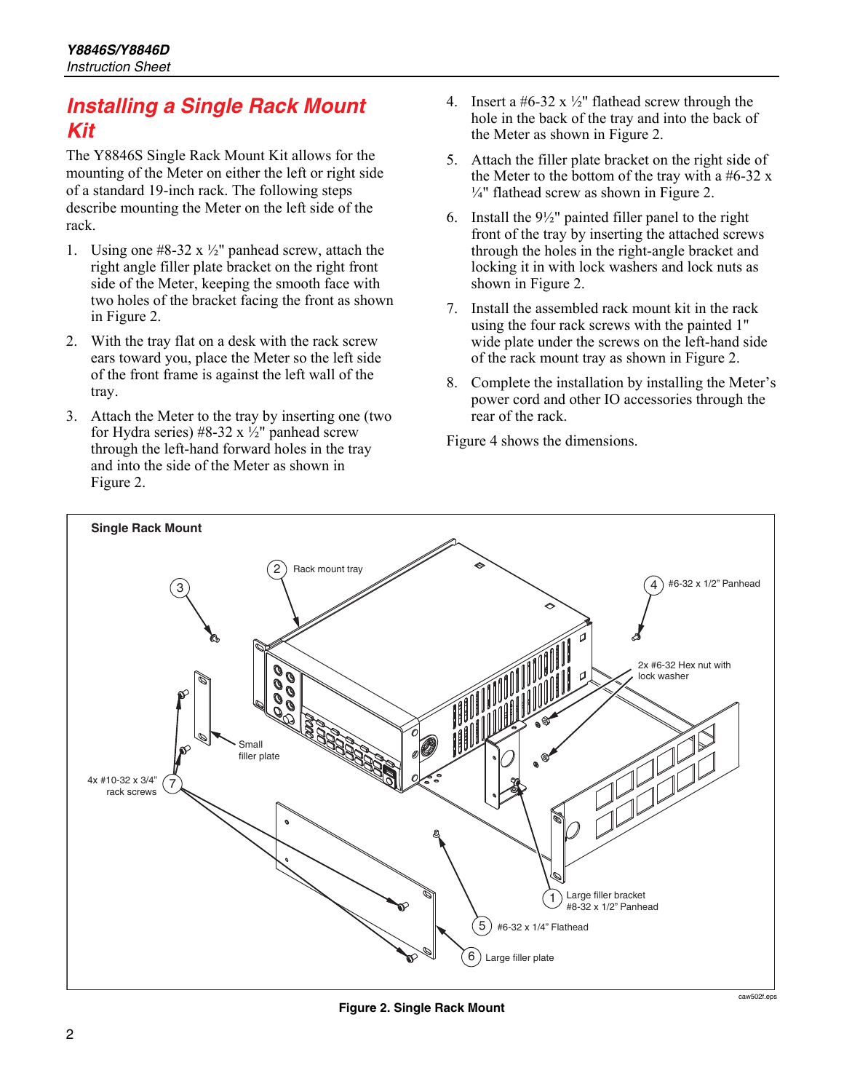#### *Installing a Single Rack Mount Kit*

The Y8846S Single Rack Mount Kit allows for the mounting of the Meter on either the left or right side of a standard 19-inch rack. The following steps describe mounting the Meter on the left side of the rack.

- 1. Using one  $#8-32 \times \frac{1}{2}$ " panhead screw, attach the right angle filler plate bracket on the right front side of the Meter, keeping the smooth face with two holes of the bracket facing the front as shown in Figure 2.
- 2. With the tray flat on a desk with the rack screw ears toward you, place the Meter so the left side of the front frame is against the left wall of the tray.
- 3. Attach the Meter to the tray by inserting one (two for Hydra series) #8-32 x  $\frac{1}{2}$ " panhead screw through the left-hand forward holes in the tray and into the side of the Meter as shown in Figure 2.
- 4. Insert a #6-32 x  $\frac{1}{2}$ " flathead screw through the hole in the back of the tray and into the back of the Meter as shown in Figure 2.
- 5. Attach the filler plate bracket on the right side of the Meter to the bottom of the tray with a  $#6-32$  x ¼" flathead screw as shown in Figure 2.
- 6. Install the  $9\frac{1}{2}$ " painted filler panel to the right front of the tray by inserting the attached screws through the holes in the right-angle bracket and locking it in with lock washers and lock nuts as shown in Figure 2.
- 7. Install the assembled rack mount kit in the rack using the four rack screws with the painted 1" wide plate under the screws on the left-hand side of the rack mount tray as shown in Figure 2.
- 8. Complete the installation by installing the Meter's power cord and other IO accessories through the rear of the rack.

Figure 4 shows the dimensions.



**Figure 2. Single Rack Mount**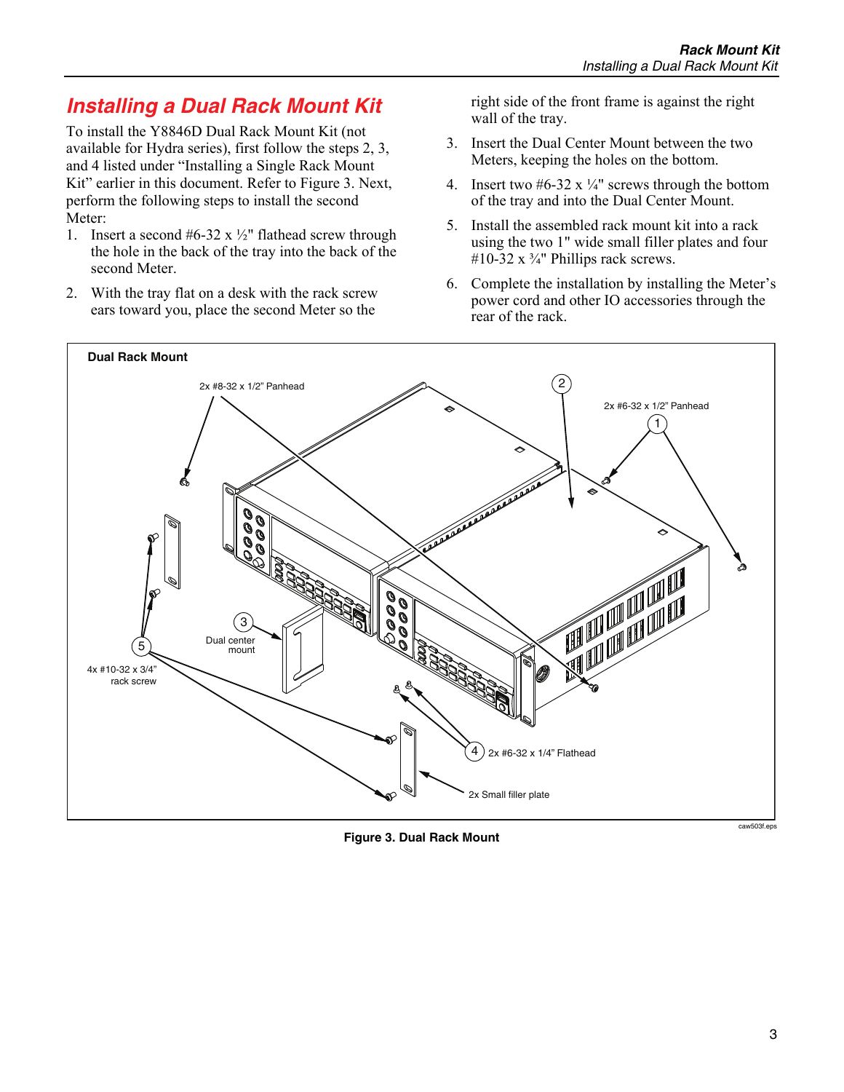## *Installing a Dual Rack Mount Kit*

To install the Y8846D Dual Rack Mount Kit (not available for Hydra series), first follow the steps 2, 3, and 4 listed under "Installing a Single Rack Mount Kit" earlier in this document. Refer to Figure 3. Next, perform the following steps to install the second Meter:

- 1. Insert a second  $#6-32 \times \frac{1}{2}$ " flathead screw through the hole in the back of the tray into the back of the second Meter.
- 2. With the tray flat on a desk with the rack screw ears toward you, place the second Meter so the

right side of the front frame is against the right wall of the tray.

- 3. Insert the Dual Center Mount between the two Meters, keeping the holes on the bottom.
- 4. Insert two  $#6-32 \times \frac{1}{4}$  screws through the bottom of the tray and into the Dual Center Mount.
- 5. Install the assembled rack mount kit into a rack using the two 1" wide small filler plates and four #10-32 x  $\frac{3}{4}$ " Phillips rack screws.
- 6. Complete the installation by installing the Meter's power cord and other IO accessories through the rear of the rack.



**Figure 3. Dual Rack Mount**